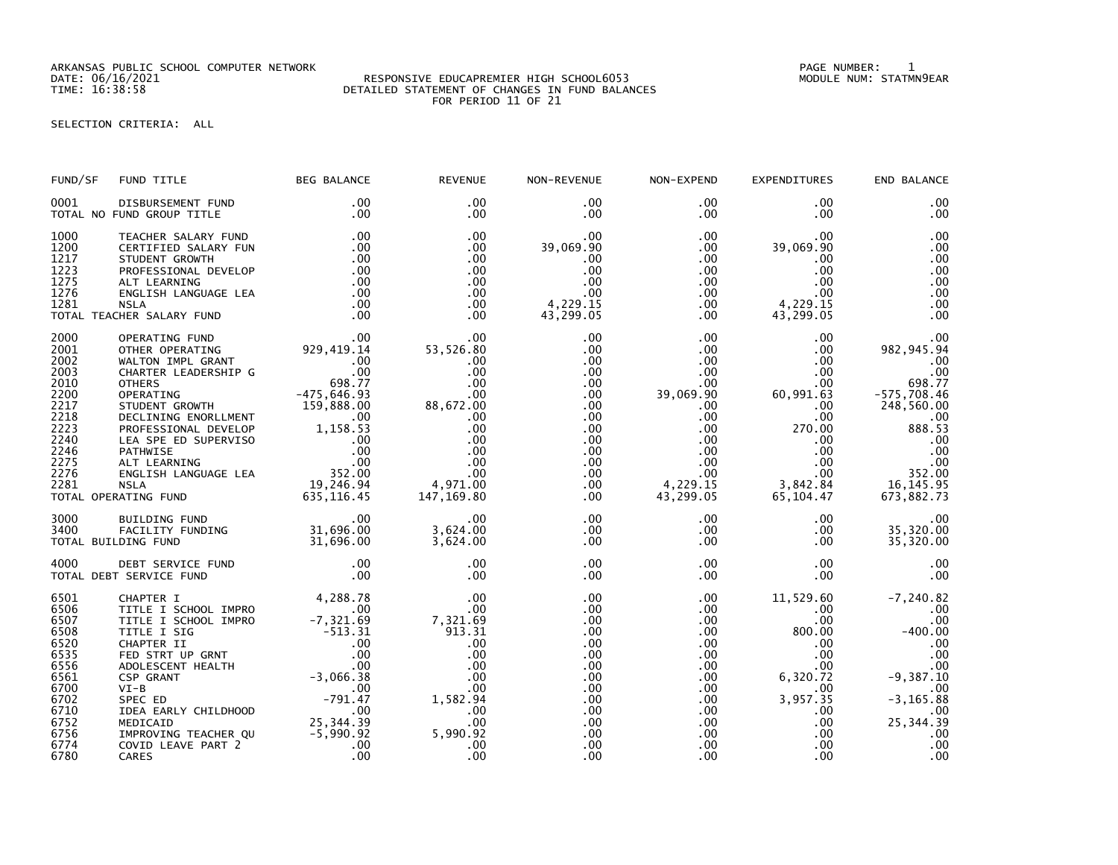ARKANSAS PUBLIC SCHOOL COMPUTER NETWORK PAGE NUMBER: 1

## RESPONSIVE EDUCAPREMIER HIGH SCHOOL6053 TIME: 16:38:58 DETAILED STATEMENT OF CHANGES IN FUND BALANCES FOR PERIOD 11 OF 21

SELECTION CRITERIA: ALL

| FUND/SF                                                                                                              | FUND TITLE                                                                                                                                                                                                                                                                                                                                                                        | <b>BEG BALANCE</b>                                                                                       | <b>REVENUE</b>                                                                                                                | NON-REVENUE                                                                                                                            | NON-EXPEND                                                                                                                                                                | <b>EXPENDITURES</b>                                                                                                                      | END BALANCE                                                                                                                                            |
|----------------------------------------------------------------------------------------------------------------------|-----------------------------------------------------------------------------------------------------------------------------------------------------------------------------------------------------------------------------------------------------------------------------------------------------------------------------------------------------------------------------------|----------------------------------------------------------------------------------------------------------|-------------------------------------------------------------------------------------------------------------------------------|----------------------------------------------------------------------------------------------------------------------------------------|---------------------------------------------------------------------------------------------------------------------------------------------------------------------------|------------------------------------------------------------------------------------------------------------------------------------------|--------------------------------------------------------------------------------------------------------------------------------------------------------|
| 0001                                                                                                                 | DISBURSEMENT FUND<br>TOTAL NO FUND GROUP TITLE                                                                                                                                                                                                                                                                                                                                    | $.00 \,$<br>.00                                                                                          | $.00 \times$<br>$.00 \,$                                                                                                      | .00<br>$.00 \,$                                                                                                                        | $.00 \,$<br>$.00 \,$                                                                                                                                                      | $.00 \,$<br>$.00 \,$                                                                                                                     | .00<br>.00                                                                                                                                             |
| 1000<br>1200<br>1217<br>1223<br>1275<br>1276<br>1281                                                                 | TEACHER SALARY FUND<br>CERTIFIED SALARY FUN<br>STUDENT GROWTH<br>PROFESSIONAL DEVELOP<br>ALT LEARNING<br>ENGLISH LANGUAGE LEA<br><b>NSLA</b><br>TOTAL TEACHER SALARY FUND                                                                                                                                                                                                         | .00<br>.00<br>.00<br>.00<br>.00<br>.00<br>.00<br>.00                                                     | .00<br>.00<br>.00<br>.00<br>.00<br>.00<br>.00<br>.00                                                                          | $.00 \,$<br>39,069.90<br>.00<br>.00<br>.00<br>.00<br>4,229.15<br>43,299.05                                                             | $.00 \,$<br>.00<br>$.00 \,$<br>$.00 \,$<br>$.00 \,$<br>$.00 \cdot$<br>$.00 \,$<br>$.00 \,$                                                                                | .00<br>39,069.90<br>$.00 \,$<br>.00<br>.00<br>$.00 \,$<br>4,229.15<br>43,299.05                                                          | .00<br>.00<br>.00<br>.00<br>.00<br>.00<br>.00<br>.00                                                                                                   |
| 2000<br>2001<br>2002<br>2003<br>2010<br>2200<br>2217<br>2218<br>2223<br>2240<br>2246<br>2275<br>2276<br>2281         | OPERATING FUND<br>OTHER OPERATING<br>WALTON IMPL GRANT<br>CHARTER LEADERSHIP G<br><b>OTHERS</b><br>098.77<br>098.77<br>OFRATING CONTH<br>DECLINING ENORLLMENT<br>PROFESSIONAL DEVELOP<br>PROFESSIONAL DEVELOP<br>PROFESSIONAL DEVELOP<br>DEL 1,158.53<br>LEA SPE ED SUPERVISO<br>ONTIMISE<br>ALT LEARNING 00<br>NOLLISH LANGUAGE LEA 19.246.94<br>NOLLISH<br>TOTAL OPERATING FUND | 00<br>00.<br>929, 419.14<br>00.<br>98. 77.<br>98. 77.<br>635, 116.45                                     | .00<br>53,526.80<br>.00<br>.00<br>.00<br>.00<br>88,672.00<br>.00<br>.00<br>.00<br>.00<br>.00<br>.00<br>4,971.00<br>147,169.80 | .00<br>.00<br>.00<br>.00<br>.00<br>.00<br>.00<br>$.00 \,$<br>.00<br>$.00 \,$<br>$.00 \,$<br>.00 <sub>1</sub><br>$.00 \,$<br>.00<br>.00 | .00 <sub>1</sub><br>.00<br>.00<br>$.00 \,$<br>.00<br>39,069.90<br>$.00 \,$<br>$.00 \,$<br>.00<br>$.00 \,$<br>$.00 \,$<br>$.00 \,$<br>$.00 \,$<br>4,229.15<br>43,299.05    | .00<br>.00<br>.00<br>.00<br>.00<br>60,991.63<br>.00<br>.00<br>270.00<br>.00<br>$.00 \,$<br>$.00 \,$<br>$.00 \,$<br>3,842.84<br>65,104.47 | .00<br>982, 945.94<br>.00<br>.00<br>698.77<br>$-575,708.46$<br>248,560.00<br>.00<br>888.53<br>.00<br>.00<br>.00<br>352.00<br>16, 145. 95<br>673,882.73 |
| 3000<br>3400                                                                                                         | BUILDING FUND<br>FACILITY FUNDING<br>DING FUND<br>DING FUND 31,696.00<br>TOTAL BUILDING FUND                                                                                                                                                                                                                                                                                      | $\sim$ .00                                                                                               | .00<br>3,624.00<br>3,624.00                                                                                                   | $.00 \,$<br>$.00 \,$<br>.00                                                                                                            | $.00 \,$<br>$.00 \,$<br>$.00 \,$                                                                                                                                          | $.00 \,$<br>$.00 \,$<br>$.00 \,$                                                                                                         | .00<br>35,320.00<br>35,320.00                                                                                                                          |
| 4000                                                                                                                 | DEBT SERVICE FUND<br>TOTAL DEBT SERVICE FUND                                                                                                                                                                                                                                                                                                                                      | $\frac{0}{00}$                                                                                           | .00<br>.00                                                                                                                    | .00<br>.00                                                                                                                             | $.00 \,$<br>$.00 \,$                                                                                                                                                      | $.00 \,$<br>.00                                                                                                                          | .00<br>.00                                                                                                                                             |
| 6501<br>6506<br>6507<br>6508<br>6520<br>6535<br>6556<br>6561<br>6700<br>6702<br>6710<br>6752<br>6756<br>6774<br>6780 | CHAPTER I<br>TITLE I SCHOOL IMPRO<br>TITLE I SCHOOL IMPIN<br>TITLE I SIG<br>CHAPTER II .00<br>CHAPTER II .00<br>FED STRT UP GRNT .00<br>ADOLESCENT HEALTH .00<br>-3,066.38<br>.00<br>$VI-B$<br>SPEC ED<br>IDEA EARLY CHILDHOOD<br>MEDICAID<br>IMPROVING TEACHER QU<br>COVID LEAVE PART 2<br>CARES                                                                                 | $4,288.78$<br>-7.321.00<br>$\sim$ 00<br>$-791.47$<br>$\sim$ 00<br>25, 344.39<br>-5, 990.92<br>.00<br>.00 | .00<br>.00<br>7,321.69<br>913.31<br>.00<br>.00<br>.00<br>.00<br>.00<br>1,582.94<br>.00<br>.00<br>5,990.92<br>.00<br>.00       | .00<br>.00<br>.00<br>.00<br>.00<br>.00<br>.00<br>.00<br>.00.<br>.00<br>.00<br>.00<br>.00<br>.00<br>.00                                 | $.00 \,$<br>$.00 \,$<br>.00<br>$.00 \,$<br>$.00 \,$<br>$.00 \,$<br>$.00 \,$<br>$.00 \,$<br>$.00 \,$<br>$.00 \,$<br>$.00 \,$<br>$.00 \cdot$<br>$.00 \,$<br>$.00 \,$<br>.00 | 11,529.60<br>.00.<br>.00<br>800.00<br>$.00 \,$<br>$.00 \,$<br>.00<br>6,320.72<br>.00.<br>3,957.35<br>.00<br>.00<br>.00.<br>.00<br>.00    | $-7, 240.82$<br>.00<br>.00<br>$-400.00$<br>.00<br>.00<br>.00<br>$-9,387.10$<br>.00<br>$-3, 165.88$<br>.00<br>25, 344.39<br>.00<br>.00<br>.00           |